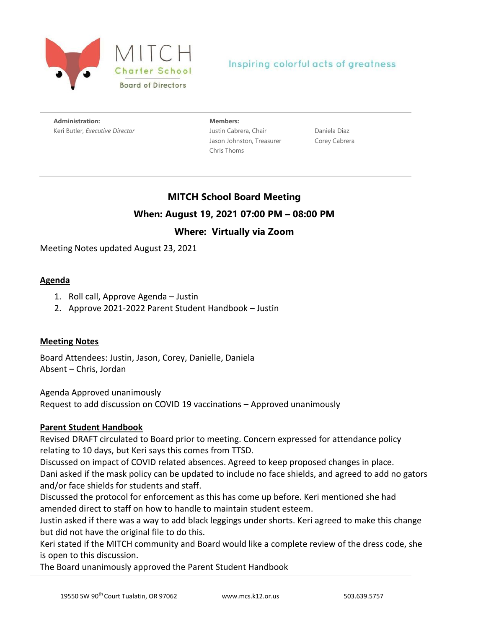

## Inspiring colorful acts of greatness

**Administration:** Keri Butler, *Executive Director* **Members:** Justin Cabrera, Chair Jason Johnston, Treasurer Chris Thoms

Daniela Diaz Corey Cabrera

# **MITCH School Board Meeting When: August 19, 2021 07:00 PM – 08:00 PM**

## **Where: Virtually via Zoom**

Meeting Notes updated August 23, 2021

### **Agenda**

- 1. Roll call, Approve Agenda Justin
- 2. Approve 2021-2022 Parent Student Handbook Justin

### **Meeting Notes**

Board Attendees: Justin, Jason, Corey, Danielle, Daniela Absent – Chris, Jordan

Agenda Approved unanimously

Request to add discussion on COVID 19 vaccinations – Approved unanimously

### **Parent Student Handbook**

Revised DRAFT circulated to Board prior to meeting. Concern expressed for attendance policy relating to 10 days, but Keri says this comes from TTSD.

Discussed on impact of COVID related absences. Agreed to keep proposed changes in place. Dani asked if the mask policy can be updated to include no face shields, and agreed to add no gators and/or face shields for students and staff.

Discussed the protocol for enforcement as this has come up before. Keri mentioned she had amended direct to staff on how to handle to maintain student esteem.

Justin asked if there was a way to add black leggings under shorts. Keri agreed to make this change but did not have the original file to do this.

Keri stated if the MITCH community and Board would like a complete review of the dress code, she is open to this discussion.

The Board unanimously approved the Parent Student Handbook